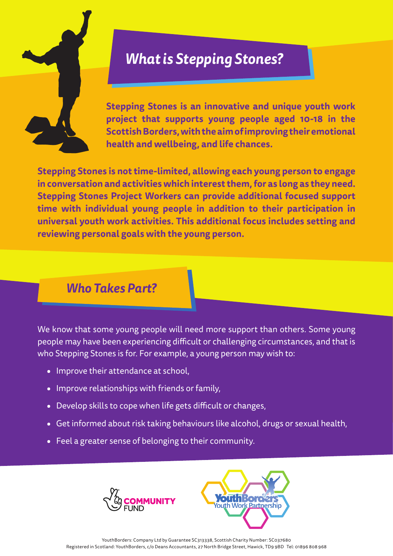

# *What is Stepping Stones?*

**Stepping Stones is an innovative and unique youth work project that supports young people aged 10-18 in the Scottish Borders, with the aim of improving their emotional health and wellbeing, and life chances.** 

**Stepping Stones is not time-limited, allowing each young person to engage in conversation and activities which interest them, for as long as they need. Stepping Stones Project Workers can provide additional focused support time with individual young people in addition to their participation in universal youth work activities. This additional focus includes setting and reviewing personal goals with the young person.** 

### *Who Takes Part?*

We know that some young people will need more support than others. Some young people may have been experiencing difficult or challenging circumstances, and that is who Stepping Stones is for. For example, a young person may wish to:

- **•** Improve their attendance at school,
- **•** Improve relationships with friends or family,
- **•** Develop skills to cope when life gets difficult or changes,
- **•** Get informed about risk taking behaviours like alcohol, drugs or sexual health,
- **•** Feel a greater sense of belonging to their community.